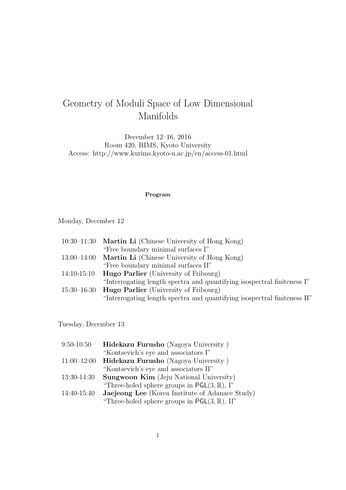# Geometry of Moduli Space of Low Dimensional Manifolds

December 12–16, 2016 Room 420, RIMS, Kyoto University Access: http://www.kurims.kyoto-u.ac.jp/en/access-01.html

#### **Program**

Monday, December 12

|                 | 10:30–11:30 <b>Martin Li</b> (Chinese University of Hong Kong)           |
|-----------------|--------------------------------------------------------------------------|
|                 | "Free boundary minimal surfaces I"                                       |
|                 | $13:00-14:00$ Martin Li (Chinese University of Hong Kong)                |
|                 | "Free boundary minimal surfaces II"                                      |
| $14:10-15:10$   | <b>Hugo Parlier</b> (University of Fribourg)                             |
|                 | "Interrogating length spectra and quantifying isospectral finiteness I"  |
| $15:30 - 16:30$ | <b>Hugo Parlier</b> (University of Fribourg)                             |
|                 | "Interrogating length spectra and quantifying isospectral finiteness II" |

Tuesday, December 13

| $9:50 - 10:50$ | Hidekazu Furusho (Nagoya University)                            |
|----------------|-----------------------------------------------------------------|
|                | "Kontsevich's eye and associators I"                            |
| $11:00-12:00$  | Hidekazu Furusho (Nagoya University)                            |
|                | "Kontsevich's eye and associators II"                           |
| $13:30-14:30$  | <b>Sungwoon Kim</b> (Jeju National University)                  |
|                | "Three-holed sphere groups in $\textsf{PGL}(3,\mathbb{R})$ , I" |
| 14:40-15:40    | Jaejeong Lee (Korea Institute of Adanace Study)                 |
|                | "Three-holed sphere groups in $PGL(3, \mathbb{R})$ , II"        |
|                |                                                                 |